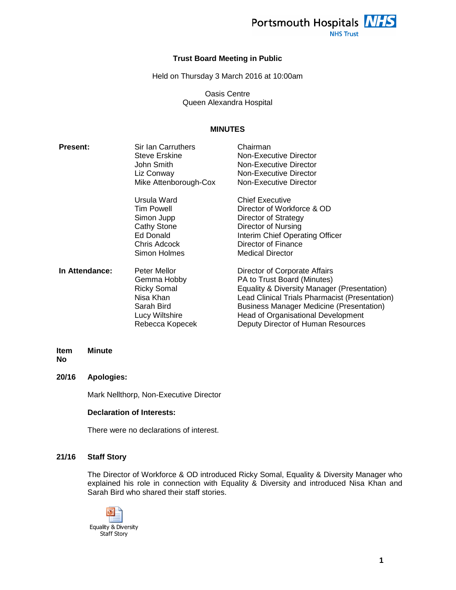

**NHS Trust** 

## **Trust Board Meeting in Public**

Held on Thursday 3 March 2016 at 10:00am

Oasis Centre Queen Alexandra Hospital

# **MINUTES**

| <b>Present:</b> | Sir Ian Carruthers    | Chairman                                        |
|-----------------|-----------------------|-------------------------------------------------|
|                 | <b>Steve Erskine</b>  | <b>Non-Executive Director</b>                   |
|                 | John Smith            | Non-Executive Director                          |
|                 | Liz Conway            | Non-Executive Director                          |
|                 | Mike Attenborough-Cox | Non-Executive Director                          |
|                 | Ursula Ward           | <b>Chief Executive</b>                          |
|                 | Tim Powell            | Director of Workforce & OD                      |
|                 | Simon Jupp            | Director of Strategy                            |
|                 | <b>Cathy Stone</b>    | Director of Nursing                             |
|                 | Ed Donald             | Interim Chief Operating Officer                 |
|                 | Chris Adcock          | Director of Finance                             |
|                 | Simon Holmes          | <b>Medical Director</b>                         |
| In Attendance:  | Peter Mellor          | Director of Corporate Affairs                   |
|                 | Gemma Hobby           | PA to Trust Board (Minutes)                     |
|                 | <b>Ricky Somal</b>    | Equality & Diversity Manager (Presentation)     |
|                 | Nisa Khan             | Lead Clinical Trials Pharmacist (Presentation)  |
|                 | Sarah Bird            | <b>Business Manager Medicine (Presentation)</b> |
|                 | Lucy Wiltshire        | <b>Head of Organisational Development</b>       |
|                 | Rebecca Kopecek       | Deputy Director of Human Resources              |

#### **Item No Minute**

# **20/16 Apologies:**

Mark Nellthorp, Non-Executive Director

## **Declaration of Interests:**

There were no declarations of interest.

## **21/16 Staff Story**

The Director of Workforce & OD introduced Ricky Somal, Equality & Diversity Manager who explained his role in connection with Equality & Diversity and introduced Nisa Khan and Sarah Bird who shared their staff stories.

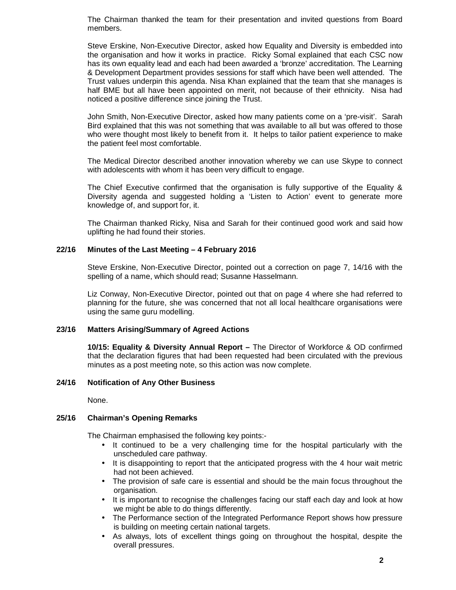The Chairman thanked the team for their presentation and invited questions from Board members.

Steve Erskine, Non-Executive Director, asked how Equality and Diversity is embedded into the organisation and how it works in practice. Ricky Somal explained that each CSC now has its own equality lead and each had been awarded a 'bronze' accreditation. The Learning & Development Department provides sessions for staff which have been well attended. The Trust values underpin this agenda. Nisa Khan explained that the team that she manages is half BME but all have been appointed on merit, not because of their ethnicity. Nisa had noticed a positive difference since joining the Trust.

John Smith, Non-Executive Director, asked how many patients come on a 'pre-visit'. Sarah Bird explained that this was not something that was available to all but was offered to those who were thought most likely to benefit from it. It helps to tailor patient experience to make the patient feel most comfortable.

The Medical Director described another innovation whereby we can use Skype to connect with adolescents with whom it has been very difficult to engage.

The Chief Executive confirmed that the organisation is fully supportive of the Equality & Diversity agenda and suggested holding a 'Listen to Action' event to generate more knowledge of, and support for, it.

The Chairman thanked Ricky, Nisa and Sarah for their continued good work and said how uplifting he had found their stories.

# **22/16 Minutes of the Last Meeting – 4 February 2016**

Steve Erskine, Non-Executive Director, pointed out a correction on page 7, 14/16 with the spelling of a name, which should read; Susanne Hasselmann.

Liz Conway, Non-Executive Director, pointed out that on page 4 where she had referred to planning for the future, she was concerned that not all local healthcare organisations were using the same guru modelling.

## **23/16 Matters Arising/Summary of Agreed Actions**

**10/15: Equality & Diversity Annual Report –** The Director of Workforce & OD confirmed that the declaration figures that had been requested had been circulated with the previous minutes as a post meeting note, so this action was now complete.

## **24/16 Notification of Any Other Business**

None.

# **25/16 Chairman's Opening Remarks**

The Chairman emphasised the following key points:-

- It continued to be a very challenging time for the hospital particularly with the unscheduled care pathway.
- It is disappointing to report that the anticipated progress with the 4 hour wait metric had not been achieved.
- The provision of safe care is essential and should be the main focus throughout the organisation.
- It is important to recognise the challenges facing our staff each day and look at how we might be able to do things differently.
- The Performance section of the Integrated Performance Report shows how pressure is building on meeting certain national targets.
- As always, lots of excellent things going on throughout the hospital, despite the overall pressures.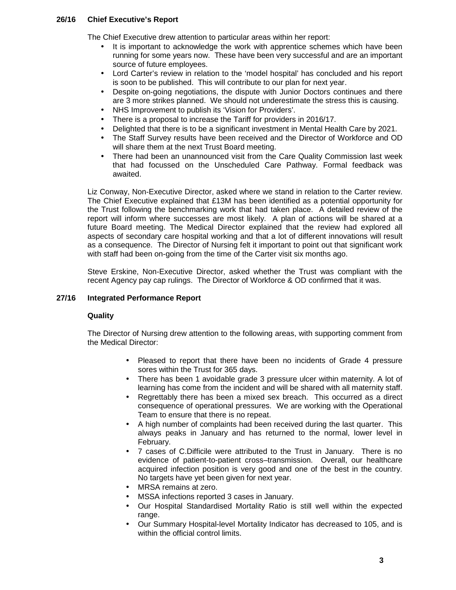# **26/16 Chief Executive's Report**

The Chief Executive drew attention to particular areas within her report:

- It is important to acknowledge the work with apprentice schemes which have been running for some years now. These have been very successful and are an important source of future employees.
- Lord Carter's review in relation to the 'model hospital' has concluded and his report is soon to be published. This will contribute to our plan for next year.
- Despite on-going negotiations, the dispute with Junior Doctors continues and there are 3 more strikes planned. We should not underestimate the stress this is causing.
- NHS Improvement to publish its 'Vision for Providers'.
- There is a proposal to increase the Tariff for providers in 2016/17.
- Delighted that there is to be a significant investment in Mental Health Care by 2021.
- The Staff Survey results have been received and the Director of Workforce and OD will share them at the next Trust Board meeting.
- There had been an unannounced visit from the Care Quality Commission last week that had focussed on the Unscheduled Care Pathway. Formal feedback was awaited.

Liz Conway, Non-Executive Director, asked where we stand in relation to the Carter review. The Chief Executive explained that £13M has been identified as a potential opportunity for the Trust following the benchmarking work that had taken place. A detailed review of the report will inform where successes are most likely. A plan of actions will be shared at a future Board meeting. The Medical Director explained that the review had explored all aspects of secondary care hospital working and that a lot of different innovations will result as a consequence. The Director of Nursing felt it important to point out that significant work with staff had been on-going from the time of the Carter visit six months ago.

Steve Erskine, Non-Executive Director, asked whether the Trust was compliant with the recent Agency pay cap rulings. The Director of Workforce & OD confirmed that it was.

# **27/16 Integrated Performance Report**

# **Quality**

The Director of Nursing drew attention to the following areas, with supporting comment from the Medical Director:

- Pleased to report that there have been no incidents of Grade 4 pressure sores within the Trust for 365 days.
- There has been 1 avoidable grade 3 pressure ulcer within maternity. A lot of learning has come from the incident and will be shared with all maternity staff.
- Regrettably there has been a mixed sex breach. This occurred as a direct consequence of operational pressures. We are working with the Operational Team to ensure that there is no repeat.
- A high number of complaints had been received during the last quarter. This always peaks in January and has returned to the normal, lower level in February.
- 7 cases of C.Difficile were attributed to the Trust in January. There is no evidence of patient-to-patient cross–transmission. Overall, our healthcare acquired infection position is very good and one of the best in the country. No targets have yet been given for next year.
- MRSA remains at zero.
- MSSA infections reported 3 cases in January.
- Our Hospital Standardised Mortality Ratio is still well within the expected range.
- Our Summary Hospital-level Mortality Indicator has decreased to 105, and is within the official control limits.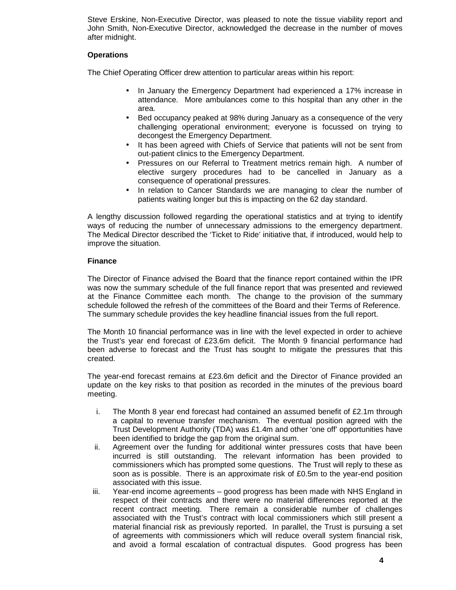Steve Erskine, Non-Executive Director, was pleased to note the tissue viability report and John Smith, Non-Executive Director, acknowledged the decrease in the number of moves after midnight.

# **Operations**

The Chief Operating Officer drew attention to particular areas within his report:

- In January the Emergency Department had experienced a 17% increase in attendance. More ambulances come to this hospital than any other in the area.
- Bed occupancy peaked at 98% during January as a consequence of the very challenging operational environment; everyone is focussed on trying to decongest the Emergency Department.
- It has been agreed with Chiefs of Service that patients will not be sent from out-patient clinics to the Emergency Department.
- Pressures on our Referral to Treatment metrics remain high. A number of elective surgery procedures had to be cancelled in January as a consequence of operational pressures.
- In relation to Cancer Standards we are managing to clear the number of patients waiting longer but this is impacting on the 62 day standard.

A lengthy discussion followed regarding the operational statistics and at trying to identify ways of reducing the number of unnecessary admissions to the emergency department. The Medical Director described the 'Ticket to Ride' initiative that, if introduced, would help to improve the situation.

# **Finance**

The Director of Finance advised the Board that the finance report contained within the IPR was now the summary schedule of the full finance report that was presented and reviewed at the Finance Committee each month. The change to the provision of the summary schedule followed the refresh of the committees of the Board and their Terms of Reference. The summary schedule provides the key headline financial issues from the full report.

The Month 10 financial performance was in line with the level expected in order to achieve the Trust's year end forecast of £23.6m deficit. The Month 9 financial performance had been adverse to forecast and the Trust has sought to mitigate the pressures that this created.

The year-end forecast remains at £23.6m deficit and the Director of Finance provided an update on the key risks to that position as recorded in the minutes of the previous board meeting.

- i. The Month 8 year end forecast had contained an assumed benefit of  $£2.1m$  through a capital to revenue transfer mechanism. The eventual position agreed with the Trust Development Authority (TDA) was £1.4m and other 'one off' opportunities have been identified to bridge the gap from the original sum.
- ii. Agreement over the funding for additional winter pressures costs that have been incurred is still outstanding. The relevant information has been provided to commissioners which has prompted some questions. The Trust will reply to these as soon as is possible. There is an approximate risk of £0.5m to the year-end position associated with this issue.
- iii. Year-end income agreements good progress has been made with NHS England in respect of their contracts and there were no material differences reported at the recent contract meeting. There remain a considerable number of challenges associated with the Trust's contract with local commissioners which still present a material financial risk as previously reported. In parallel, the Trust is pursuing a set of agreements with commissioners which will reduce overall system financial risk, and avoid a formal escalation of contractual disputes. Good progress has been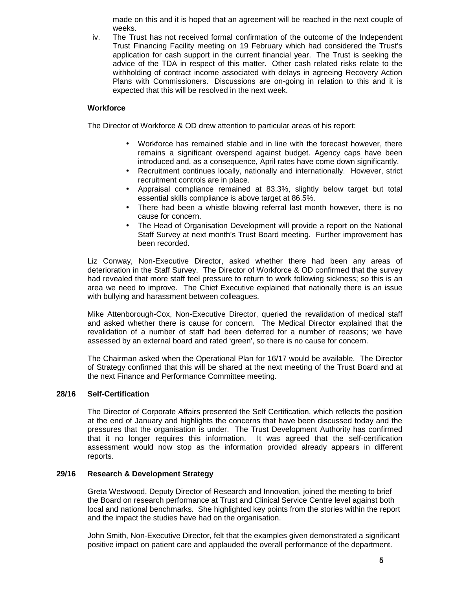made on this and it is hoped that an agreement will be reached in the next couple of weeks.

iv. The Trust has not received formal confirmation of the outcome of the Independent Trust Financing Facility meeting on 19 February which had considered the Trust's application for cash support in the current financial year. The Trust is seeking the advice of the TDA in respect of this matter. Other cash related risks relate to the withholding of contract income associated with delays in agreeing Recovery Action Plans with Commissioners. Discussions are on-going in relation to this and it is expected that this will be resolved in the next week.

# **Workforce**

The Director of Workforce & OD drew attention to particular areas of his report:

- Workforce has remained stable and in line with the forecast however, there remains a significant overspend against budget. Agency caps have been introduced and, as a consequence, April rates have come down significantly.
- Recruitment continues locally, nationally and internationally. However, strict recruitment controls are in place.
- Appraisal compliance remained at 83.3%, slightly below target but total essential skills compliance is above target at 86.5%.
- There had been a whistle blowing referral last month however, there is no cause for concern.
- The Head of Organisation Development will provide a report on the National Staff Survey at next month's Trust Board meeting. Further improvement has been recorded.

Liz Conway, Non-Executive Director, asked whether there had been any areas of deterioration in the Staff Survey. The Director of Workforce & OD confirmed that the survey had revealed that more staff feel pressure to return to work following sickness; so this is an area we need to improve. The Chief Executive explained that nationally there is an issue with bullying and harassment between colleagues.

Mike Attenborough-Cox, Non-Executive Director, queried the revalidation of medical staff and asked whether there is cause for concern. The Medical Director explained that the revalidation of a number of staff had been deferred for a number of reasons; we have assessed by an external board and rated 'green', so there is no cause for concern.

The Chairman asked when the Operational Plan for 16/17 would be available. The Director of Strategy confirmed that this will be shared at the next meeting of the Trust Board and at the next Finance and Performance Committee meeting.

## **28/16 Self-Certification**

The Director of Corporate Affairs presented the Self Certification, which reflects the position at the end of January and highlights the concerns that have been discussed today and the pressures that the organisation is under. The Trust Development Authority has confirmed that it no longer requires this information. It was agreed that the self-certification assessment would now stop as the information provided already appears in different reports.

## **29/16 Research & Development Strategy**

Greta Westwood, Deputy Director of Research and Innovation, joined the meeting to brief the Board on research performance at Trust and Clinical Service Centre level against both local and national benchmarks. She highlighted key points from the stories within the report and the impact the studies have had on the organisation.

John Smith, Non-Executive Director, felt that the examples given demonstrated a significant positive impact on patient care and applauded the overall performance of the department.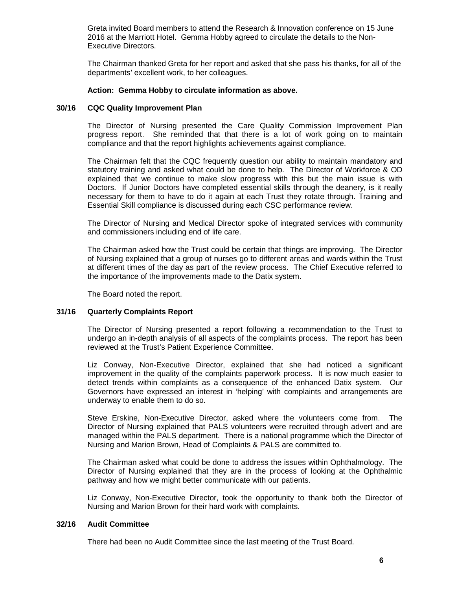Greta invited Board members to attend the Research & Innovation conference on 15 June 2016 at the Marriott Hotel. Gemma Hobby agreed to circulate the details to the Non-Executive Directors.

The Chairman thanked Greta for her report and asked that she pass his thanks, for all of the departments' excellent work, to her colleagues.

## **Action: Gemma Hobby to circulate information as above.**

## **30/16 CQC Quality Improvement Plan**

The Director of Nursing presented the Care Quality Commission Improvement Plan progress report. She reminded that that there is a lot of work going on to maintain compliance and that the report highlights achievements against compliance.

The Chairman felt that the CQC frequently question our ability to maintain mandatory and statutory training and asked what could be done to help. The Director of Workforce & OD explained that we continue to make slow progress with this but the main issue is with Doctors. If Junior Doctors have completed essential skills through the deanery, is it really necessary for them to have to do it again at each Trust they rotate through. Training and Essential Skill compliance is discussed during each CSC performance review.

The Director of Nursing and Medical Director spoke of integrated services with community and commissioners including end of life care.

The Chairman asked how the Trust could be certain that things are improving. The Director of Nursing explained that a group of nurses go to different areas and wards within the Trust at different times of the day as part of the review process. The Chief Executive referred to the importance of the improvements made to the Datix system.

The Board noted the report.

## **31/16 Quarterly Complaints Report**

The Director of Nursing presented a report following a recommendation to the Trust to undergo an in-depth analysis of all aspects of the complaints process. The report has been reviewed at the Trust's Patient Experience Committee.

Liz Conway, Non-Executive Director, explained that she had noticed a significant improvement in the quality of the complaints paperwork process. It is now much easier to detect trends within complaints as a consequence of the enhanced Datix system. Our Governors have expressed an interest in 'helping' with complaints and arrangements are underway to enable them to do so.

Steve Erskine, Non-Executive Director, asked where the volunteers come from. The Director of Nursing explained that PALS volunteers were recruited through advert and are managed within the PALS department. There is a national programme which the Director of Nursing and Marion Brown, Head of Complaints & PALS are committed to.

The Chairman asked what could be done to address the issues within Ophthalmology. The Director of Nursing explained that they are in the process of looking at the Ophthalmic pathway and how we might better communicate with our patients.

Liz Conway, Non-Executive Director, took the opportunity to thank both the Director of Nursing and Marion Brown for their hard work with complaints.

## **32/16 Audit Committee**

There had been no Audit Committee since the last meeting of the Trust Board.